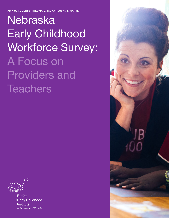**AMY M. ROBERTS | IHEOMA U. IRUKA | SUSAN L. SARVER**

Nebraska Early Childhood Workforce Survey: A Focus on Providers and **Teachers** 



**Buffett Early Childhood Institute** 

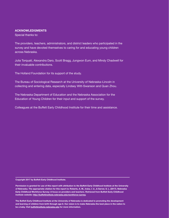### **ACKNOWLEDGMENTS**

Special thanks to:

The providers, teachers, administrators, and district leaders who participated in the survey and have devoted themselves to caring for and educating young children across Nebraska.

Julia Torquati, Alexandra Daro, Scott Bragg, Jungwon Eum, and Mindy Chadwell for their invaluable contributions.

The Holland Foundation for its support of the study.

The Bureau of Sociological Research at the University of Nebraska–Lincoln in collecting and entering data, especially Lindsey Witt-Swanson and Quan Zhou.

The Nebraska Department of Education and the Nebraska Association for the Education of Young Children for their input and support of the survey.

Colleagues at the Buffett Early Childhood Institute for their time and assistance.

**Copyright 2017 by Buffett Early Childhood Institute.**

**Permission is granted for use of this report with attribution to the Buffett Early Childhood Institute at the University of Nebraska. The appropriate citation for this report is: Roberts, A. M., Iruka, I. U., & Sarver, S. L. (2017). Nebraska Early Childhood Workforce Survey: A focus on providers and teachers. Retrieved from Buffett Early Childhood Institute website: http://buffettinstitute.nebraska.edu/workforce-survey.**

**The Buffett Early Childhood Institute at the University of Nebraska is dedicated to promoting the development and learning of children from birth through age 8. Our vision is to make Nebraska the best place in the nation to be a baby. Visit buffettinstitute.nebraska.edu for more information.**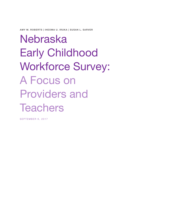**AMY M. ROBERTS | IHEOMA U. IRUKA | SUSAN L. SARVER**

Nebraska Early Childhood Workforce Survey: A Focus on Providers and **Teachers** 

SEPTEMBER 6, 2017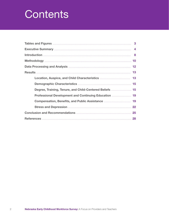# **Contents**

| Location, Auspice, and Child Characteristics             | 13 |
|----------------------------------------------------------|----|
|                                                          |    |
| Degree, Training, Tenure, and Child-Centered Beliefs  15 |    |
|                                                          |    |
|                                                          |    |
| Stress and Depression <b>Manual Excession</b> 22         |    |
|                                                          |    |
|                                                          |    |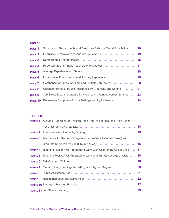### **TABLES**

| TABLE 1        | Summary of Respondents and Response Rates by Target Population  10 |    |
|----------------|--------------------------------------------------------------------|----|
| TABLE 2        |                                                                    |    |
| TABLE 3        |                                                                    |    |
| <b>TABLE 4</b> | Reported Majors Among Teachers With Degrees  17                    |    |
| TABLE 5        |                                                                    | 18 |
| TABLE 6        | Professional Development and Training Experiences  19              |    |
| TABLE 7        | Compensation, Time Working, and Multiple Job Status                | 20 |
| TABLE 8        | Utilization Rates of Public Assistance by Urbanicity and Setting   | 21 |
| TABLE 9        | Job Stress Means, Standard Deviations, and Ranges Across Settings  | 23 |
| TABLE 10       | Depressive Symptoms Across Settings and by Urbanicity  24          |    |

## **FIGURES**

| <b>FIGURE 1</b> Average Proportion of Children Receiving Free or Reduced Price Lunch     |  |
|------------------------------------------------------------------------------------------|--|
|                                                                                          |  |
|                                                                                          |  |
| <b>FIGURE 3</b> Teachers With Bachelor's Degrees (Home-Based, Center-Based) and          |  |
|                                                                                          |  |
| FIGURE 4 Teachers Feeling Well-Prepared to Work With Children by Age of Child  17        |  |
| <b>FIGURE 5</b> Teachers Feeling Well-Prepared to Work with Families by Age of Child  18 |  |
|                                                                                          |  |
|                                                                                          |  |
|                                                                                          |  |
|                                                                                          |  |
|                                                                                          |  |
|                                                                                          |  |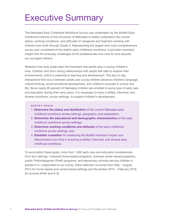## Executive Summary

The Nebraska Early Childhood Workforce Survey was undertaken by the Buffett Early Childhood Institute at the University of Nebraska to better understand the current status, working conditions, and attitudes of caregivers and teachers working with children from birth through Grade 3. Representing the largest and most comprehensive survey ever completed of the state's early childhood workforce, it provides important insight into the everyday challenges of the professionals who care for and educate our youngest citizens.

Research has long made clear the important role adults play in young children's lives. Children who form strong relationships with adults feel safe to explore their environments, which is essential to learning and development. The day-to-day interactions that occur between adults and young children advance children's language, critical thinking, social-emotional development, and children's success in school and life. Since nearly 80 percent of Nebraska children are enrolled in some type of early care and education during their early years, it is necessary to have a skilled, informed, and diverse workforce, across settings, to support children's development.

#### **s u r v e y g o a l s**

- 1. **Determine the status and distribution** of the current Nebraska early childhood workforce across settings, geography, and preparation;
- 2. **Determine the educational and demographic characteristics** of the early childhood workforce across settings;
- 3. **Determine working conditions and attitudes** of the early childhood workforce across settings; and
- 4. **Establish a baseline** for measuring the Buffett Institute's impact and effectiveness over time in ensuring a skilled, informed, and diverse early childhood workforce.

To accomplish these goals, more than 1,600 early care and education professionals from four settings—licensed home-based programs, licensed center-based programs, public PreKindergarten (PreK) programs, and elementary schools serving children in grades K-3—responded to our survey. Data collection occurred from May – August 2015 for home-based and center-based settings and November 2015 – February 2016 for schools (PreK and K-3).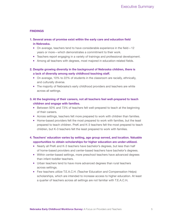### **FINDINGS**

## **1. Several areas of promise exist within the early care and education field in Nebraska.**

- $\bullet$  On average, teachers tend to have considerable experience in the field  $-12$ years or more—which demonstrates a commitment to their work.
- Teachers report engaging in a variety of trainings and professional development.
- Among all teachers with degrees, most majored in education-related fields.
- **2. Despite growing diversity in the background of Nebraska children, there is a lack of diversity among early childhood teaching staff.**
	- On average, 10% to 22% of students in the classroom are racially, ethnically, and culturally diverse.
	- The majority of Nebraska's early childhood providers and teachers are white across all settings.

## **3. At the beginning of their careers, not all teachers feel well-prepared to teach children and engage with families.**

- Between 50% and 73% of teachers felt well-prepared to teach at the beginning of their careers.
- Across settings, teachers felt more prepared to work with children than families.
- Home-based providers felt the most prepared to work with families, but the least prepared to teach children. PreK and K-3 teachers felt the most prepared to teach children, but K-3 teachers felt the least prepared to work with families.

## **4. Teachers' education varies by setting, age group served, and location. Valuable opportunities to obtain scholarships for higher education are under-utilized.**

- Nearly all PreK and K-3 teachers have bachelor's degrees, but less than half of home-based providers and center-based teachers have bachelor's degrees.
- Within center-based settings, more preschool teachers have advanced degrees than infant-toddler teachers.
- Urban teachers tend to have more advanced degrees than rural teachers across settings.
- Few teachers utilize T.E.A.C.H. (Teacher Education and Compensation Helps) scholarships, which are intended to increase access to higher education. At least a quarter of teachers across all settings are not familiar with T.E.A.C.H**.**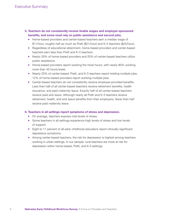- **5. Teachers do not consistently receive livable wages and employer-sponsored benefits, and some must rely on public assistance and second jobs.** 
	- Home-based providers and center-based teachers earn a median wage of \$11/hour, roughly half as much as PreK (\$21/hour) and K-3 teachers (\$23/hour).
	- Regardless of educational attainment, home-based providers and center-based teachers earn less than PreK and K-3 teachers.
	- Nearly 30% of home-based providers and 20% of center-based teachers utilize public assistance.
	- Home-based providers report working the most hours, with nearly 80% working more than 40 hours/week.
	- Nearly 20% of center-based, PreK, and K-3 teachers report holding multiple jobs; 12% of home-based providers report working multiple jobs.
	- Center-based teachers do not consistently receive employer-provided benefits. Less than half of all center-based teachers receive retirement benefits, health insurance, and paid maternity leave. Exactly half of all center-based teachers receive paid sick leave. Although nearly all PreK and K-3 teachers receive retirement, health, and sick leave benefits from their employers, fewer than half receive paid maternity leave.

### **6. Teachers in all settings report symptoms of stress and depression.**

- On average, teachers express mid-levels of stress.
- Some teachers in all settings experience high levels of stress and low levels of support.
- Eight to 11 percent of all early childhood educators report clinically significant depressive symptoms.
- Among center-based teachers, the risk for depression is highest among teachers working in urban settings. In our sample, rural teachers are more at risk for depression within home-based, PreK, and K-3 settings.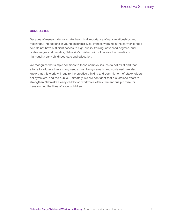### **CONCLUSION**

Decades of research demonstrate the critical importance of early relationships and meaningful interactions in young children's lives. If those working in the early childhood field do not have sufficient access to high-quality training, advanced degrees, and livable wages and benefits, Nebraska's children will not receive the benefits of high-quality early childhood care and education.

We recognize that simple solutions to these complex issues do not exist and that efforts to address these many needs must be systematic and sustained. We also know that this work will require the creative thinking and commitment of stakeholders, policymakers, and the public. Ultimately, we are confident that a sustained effort to strengthen Nebraska's early childhood workforce offers tremendous promise for transforming the lives of young children.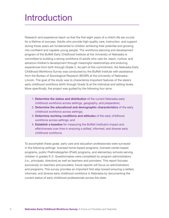## Introduction

Research and experience teach us that the first eight years of a child's life are crucial for a lifetime of success. Adults who provide high-quality care, instruction, and support during those years are fundamental to children achieving their potential and growing into confident and capable young people. The workforce planning and development program of the Buffett Early Childhood Institute at the University of Nebraska is committed to building a strong workforce of adults who care for, teach, nurture, and advance children's development through meaningful relationships and enduring experiences from birth through Grade 3. As part of this commitment, the Nebraska Early Childhood Workforce Survey was conducted by the Buffett Institute with assistance from the Bureau of Sociological Research (BOSR) at the University of Nebraska– Lincoln. The goal of the study was to characterize important features of the state's early childhood workforce (birth through Grade 3) at the individual and setting levels. More specifically, the project was guided by the following four aims:

- 1. **Determine the status and distribution** of the current Nebraska early childhood workforce across settings, geography, and preparation;
- 2. **Determine the educational and demographic characteristics** of the early childhood workforce across settings;
- 3. **Determine working conditions and attitudes** of the early childhood workforce across settings; and
- 4. **Establish a baseline** for measuring the Buffett Institute's impact and effectiveness over time in ensuring a skilled, informed, and diverse early childhood workforce.

To accomplish these goals, early care and education professionals were surveyed in the following settings: licensed home-based programs, licensed center-based programs, public PreKindergarten (PreK) programs, and elementary schools serving children in grades K-3. Questionnaires were completed by program administrators (i.e., principals, directors) as well as teachers and providers. This report focuses exclusively on teachers and providers; future reports will focus on administrators and programs. This survey provides an important first step toward ensuring a skilled, informed, and diverse early childhood workforce in Nebraska by documenting the current status of early childhood professionals across the state.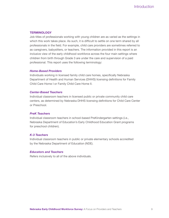#### **TERMINOLOGY**

Job titles of professionals working with young children are as varied as the settings in which this work takes place. As such, it is difficult to settle on one term shared by all professionals in the field. For example, child care providers are sometimes referred to as caregivers, babysitters, or teachers. The information provided in this report is an inclusive view of the early childhood workforce across the four main settings where children from birth through Grade 3 are under the care and supervision of a paid professional. This report uses the following terminology:

#### *Home-Based Providers*

Individuals working in licensed family child care homes, specifically Nebraska Department of Health and Human Services (DHHS) licensing definitions for Family Child Care Home I or Family Child Care Home II.

#### *Center-Based Teachers*

Individual classroom teachers in licensed public or private community child care centers, as determined by Nebraska DHHS licensing definitions for Child Care Center or Preschool.

#### *PreK Teachers*

Individual classroom teachers in school-based PreKindergarten settings (i.e., Nebraska Department of Education's Early Childhood Education Grant programs for preschool children).

### *K-3 Teachers*

Individual classroom teachers in public or private elementary schools accredited by the Nebraska Department of Education (NDE).

#### *Educators and Teachers*

Refers inclusively to all of the above individuals.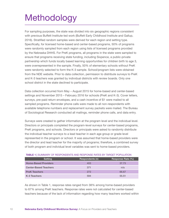## **Methodology**

For sampling purposes, the state was divided into six geographic regions consistent with previous Buffett Institute-led work (Buffett Early Childhood Institute and Gallup, 2016). Stratified random samples were derived for each region and setting type. Specifically, for licensed home-based and center-based programs, 50% of programs were randomly sampled from each region using lists of licensed programs provided by the Nebraska DHHS. For PreK programs, all programs in the state were sampled to ensure that programs receiving state funding, including Sixpence, a public-private partnership which funds locally based learning opportunities for children birth to age 3, were overrepresented in the sample. Finally, 50% of elementary schools without PreK were randomly selected to form the K-3 sample. School/program lists were obtained from the NDE website. Prior to data collection, permission to distribute surveys to PreK and K-3 teachers was granted by individual districts with review boards. Only one school district in the state declined to participate.

Data collection occurred from May – August 2015 for home-based and center-based settings and November 2015 – February 2016 for schools (PreK and K-3). Cover letters, surveys, pre-paid return envelopes, and a cash incentive of \$1 were mailed to all sampled programs. Reminder phone calls were made to all non-respondents with available telephone numbers and replacement survey packets were mailed. The Bureau of Sociological Research conducted all mailings, reminder phone calls, and data entry.

Surveys were created to gather information at the program level and the individual level. Directors or principals completed the program-level surveys for center-based programs, PreK programs, and schools. Directors or principals were asked to randomly distribute the individual teacher surveys to a lead teacher in each age group or grade level represented in the program or school. It was assumed that home-based providers were the director and lead teacher for the majority of programs; therefore, a combined survey of both program and individual level variables was sent to home-based providers.

| Setting                      | Respondents (n) | Response Rate (%) |
|------------------------------|-----------------|-------------------|
| <b>Home-Based Providers</b>  | 403             | 37.73             |
| <b>Center-Based Teachers</b> | 371             | n/a               |
| <b>PreK Teachers</b>         | 272             | 66.67             |
| K-3 Teachers                 | 594             | 55.51             |

**TABLE 1 |** SUMMARY OF RESPONDENTS AND RESPONSE RATES BY TARGET POPULATION

As shown in Table 1, response rates ranged from 38% among home-based providers to 67% among PreK teachers. Response rates were not calculated for center-based teachers because of the lack of information regarding how many teachers worked within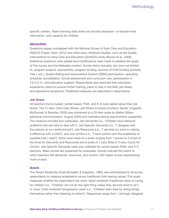specific centers. State licensing data does not provide classroom- or teacher-level information, only capacity for children.

#### **MEASURES**

Questions largely overlapped with the *National Survey of Early Care and Education* (NSECE Project Team, 2012) and other early childhood studies, such as the *Quality Interventions for Early Care and Education* (QUINCE) study (Bryant et al., 2009). Additional questions were added and modifications were made to address the goals of this survey and the Nebraska context. Survey items included, but were not limited to, program auspice, sponsorship, program funding, sources of child funding (subsidy, Title I, etc.), Quality Rating and Improvement System (QRIS) participation, operating schedule, accreditation, formal assessment and curriculum use, participation in T.E.A.C.H., and education support. Respondents also reported their education, experience, plans to pursue further training, plans to stay in the field, job stress, and depressive symptoms. Published measures are described in detail below.

### *Job Stress*

All teachers (home-based, center-based, PreK, and K-3) were asked about their job stress. The 51-item Child Care Worker Job Stress Inventory (Curbow, Spratt, Ungaretti, McDonnell, & Breckler, 2000) was shortened to a 20-item scale by Walter Gilliam (personal communication, August 2003) and maintains strong psychometric properties. The measure includes four subscales: Job Demands (i.e., "Children have behavior problems that are hard to deal with"), Job-Specific Demands (i.e., "I disagree with the policies at my center/school"), Job Resources (i.e., "I see that my work is making a difference with a child"), and Job Control (i.e., "I have control over the availability of supplies that I need"). Items were rated on a scale ranging from 1 (never) to 5 (most of the time) for Demands and Resources and a scale of 1 (very little) to 5 (very much) for Control. Job-Specific Demands were only collected for center-based, PreK, and K-3 teachers. Mean scores are presented for subscales. Scores indicate the extent to which teachers felt demands, resources, and control, with higher scores representing more of each.

#### *Beliefs*

The Parent Modernity Scale (Schaefer & Edgerton, 1985) was administered to all survey respondents to measure progressive versus traditional child rearing values. This scale measures whether the respondent has more "adult-centered"/traditional views of caring for children (i.e., "Children will not do the right thing unless they are told what to do") or more "child-centered"/progressive views (i.e., "Children learn best by doing things themselves rather than listening to others"). Responses range from 1 (strongly disagree)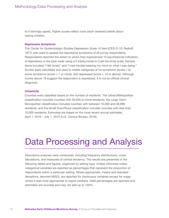to 5 (strongly agree). Higher scores reflect more adult-centered beliefs about raising children.

#### *Depressive Symptoms*

The Center for Epidemiologic Studies Depression Scale-10 item (CES-D-10; Radloff, 1977) was used to assess the depressive symptoms of all survey respondents. Respondents reported the extent to which they experienced 10 psychosocial indicators of depression in the past week using a 0 (rarely/none) to 3 (all the time) scale. Sample items included "I felt lonely" and "I had trouble keeping my mind on what I was doing." Scores were calculated and used to create categories of no symptoms (score  $= 0$ ), some symptoms (score = 1 or more), and depressed (score = 10 or above). Although scores above 10 suggest the respondent is depressed, it is not an official clinical diagnosis.

#### *Urbanicity*

Counties were classified based on the number of residents. The Urban/Metropolitan classification includes counties with 50,000 or more residents; the Large Town/ Micropolitan classification includes counties with between 10,000 and 49,999 residents; and the Small Town/Rural classification includes counties with less than 10,000 residents. Estimates are based on the most recent annual estimates, April 1, 2010 – July 1, 2015 (U.S. Census Bureau, 2016).

## Data Processing and Analysis

Descriptive analyses were conducted, including frequency distributions, crosstabulations, and measures of central tendency. The results are presented in the following tables and figures, organized by setting type. Unless otherwise noted, categorical variables are reported as percentages that represent the proportion of respondents within a particular setting. Where appropriate, means and standard deviations, denoted M(SD), are reported for continuous variables except for wage, where it was most appropriate to report medians. Valid percentages are reported and estimates are rounded and may not add up to 100%.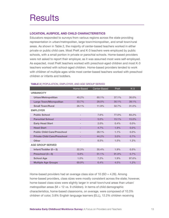## **Results**

## **LOCATION, AUSPICE, AND CHILD CHARACTERISTICS**

Educators responded to surveys from various regions across the state providing representation in urban/metropolitan, large town/micropolitan, and small town/rural areas. As shown in Table 2, the majority of center-based teachers worked in either private or public child care. Most PreK and K-3 teachers were employed by public schools, with a small portion in private or parochial schools. Home-based providers were not asked to report their employer, as it was assumed most were self-employed. As expected, most PreK teachers worked with preschool-aged children and most K-3 teachers worked with school-aged children. Home-based providers tended to work with children of multiple ages while most center-based teachers worked with preschool children or infants and toddlers.

|                                     | Home-Based | Center-Based | <b>PreK</b> | $K-3$    |
|-------------------------------------|------------|--------------|-------------|----------|
| <b>URBANICITY</b>                   |            |              |             |          |
| <b>Urban/Metropolitian</b>          | 40.2%      | 60.1%        | $37.1\%$    | $30.0\%$ |
| <b>Large Town/Micropolitan</b>      | 33.7%      | 28.0%        | $30.1\%$    | 39.1%    |
| <b>Small Town/Rural</b>             | 26.1%      | 11.9%        | 32.7%       | 31.0%    |
| <b>EMPLOYER</b>                     |            |              |             |          |
| <b>Public School</b>                | ۰.         | 7.6%         | 77.0%       | 83.2%    |
| <b>Parochial School</b>             |            | 5.0%         | 15.1%       | 15.0%    |
| <b>Early Head Start</b>             |            | 2.0%         | 0.4%        | $0.0\%$  |
| <b>Head Start</b>                   |            | 4.7%         | 1.9%        | $0.0\%$  |
| <b>Public Child Care/Preschool</b>  |            | 28.1%        | 1.1%        | $0.0\%$  |
| <b>Private Child Care/Preschool</b> |            | 44.2%        | $3.0\%$     | 0.7%     |
| <b>Other</b>                        |            | 8.5%         | 1.5%        | 1.2%     |
| <b>AGE GROUP SERVED</b>             |            |              |             |          |
| Infant/Toddler $(0-3)$              | 22.3%      | 35.4%        | 1.9%        | 0.5%     |
| Preschool (3-5)                     | 6.8%       | 51.1%        | 91.8%       | 0.7%     |
| <b>School Age</b>                   | 1.0%       | 7.2%         | 1.9%        | 97.6%    |
| <b>Multiple Age Groups</b>          | 69.9%      | 6.4%         | 4.5%        | $1.2\%$  |

#### **TABLE 2 |** POPULATION, EMPLOYER, AND AGE GROUP SERVED

Home-based providers had an average class size of 10 (SD =  $4.26$ ). Among home-based providers, class sizes were mostly consistent across the state; however, home-based class sizes were slightly larger in small town/rural areas than urban/ metropolitan areas ( $M = 12$  vs. 9 children). In terms of child demographic characteristics, home-based classrooms, on average, were composed of 10.3% children of color, 3.8% English language learners (ELL), 12.2% children receiving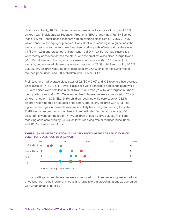## **Results**

child care subsidy, 10.5% children receiving free or reduced price lunch, and 3.1% children with Individualized Education Programs (IEPs) or Individual Family Service Plans (IFSPs). Center-based teachers had an average class size of 17 (SD = 14.37), which varied by the age group served. Consistent with licensing ratio guidelines, the average class size for center-based teachers working with infants and toddlers was 11 (SD = 10.36) and preschool children was 19 (SD = 12.43). Average class sizes were mostly consistent across the state, with the smallest class sizes in large towns  $(M = 15$  children) and the largest class sizes in urban areas  $(M = 19$  children). On average, center-based classrooms were composed of 22.3% children of color, 10.0% ELL, 26.1% children receiving child care subsidy, 25.4% children receiving free or reduced price lunch, and 6.0% children with IEPs or IFSPs.

PreK teachers had average class sizes of  $22$  (SD =  $9.09$ ) and K-3 teachers had average class sizes of 17 (SD = 5.41). PreK class sizes were consistent across the state while K-3 class sizes were smallest in small town/rural areas  $(M = 14)$  and largest in urban/ metropolitan areas ( $M = 20$ ). On average, PreK classrooms were composed of 20.4% children of color, 12.3% ELL, 9.8% children receiving child care subsidy, 38.5% children receiving free or reduced price lunch, and 18.5% children with IEPs. The higher percentages in these classrooms are likely because grant funding for state PreKindergarten programs prioritizes children with risk factors. On average, K-3 classrooms were composed of 14.7% children of color, 7.5% ELL, 8.0% children receiving child care subsidy, 34.3% children receiving free or reduced price lunch, and 12.2% children with IEPs.



#### **FIGURE 1 |** AVERAGE PROPORTION OF CHILDREN RECEIVING FREE OR REDUCED PRICE LUNCH PER CLASSROOM BY URBANICITY

In most settings, more classrooms were composed of children receiving free or reduced price lunches in small town/rural areas and large town/micropolitan areas as compared with urban areas (Figure 1).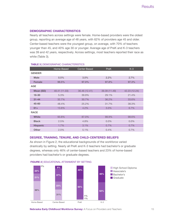### **DEMOGRAPHIC CHARACTERISTICS**

Nearly all teachers across settings were female. Home-based providers were the oldest group, reporting an average age of 48 years, with 62% of providers age 45 and older. Center-based teachers were the youngest group, on average, with 70% of teachers younger than 45, and 40% age 30 or younger. Average age of PreK and K-3 teachers was 39 and 42 years, respectively. Across settings, most teachers reported their race as white (Table 3).

|                  | Home-Based    | Center-Based  | <b>PreK</b>   | $K-3$         |
|------------------|---------------|---------------|---------------|---------------|
| <b>GENDER</b>    |               |               |               |               |
| <b>Male</b>      | 0.5%          | $3.0\%$       | 2.2%          | 2.7%          |
| <b>Female</b>    | 99.5%         | 97.0%         | 97.8%         | 97.3%         |
| <b>AGE</b>       |               |               |               |               |
| <b>Mean (SD)</b> | 48.41 (11.03) | 36.46 (12.41) | 39.39 (11.49) | 42.23 (12.24) |
| $18 - 30$        | 5.3%          | 39.9%         | 29.1%         | 21.4%         |
| $31 - 44$        | 32.7%         | 30.7%         | 36.2%         | 33.6%         |
| $45 - 60$        | 48.4%         | 25.2%         | 31.7%         | 38.3%         |
| $61 +$           | 13.6%         | 4.2%          | 3.0%          | 6.7%          |
| <b>RACE</b>      |               |               |               |               |
| <b>White</b>     | 93.8%         | 87.0%         | 98.9%         | 98.6%         |
| <b>Black</b>     | 2.5%          | 4.8%          | $0.0\%$       | $0.0\%$       |
| <b>Hispanic</b>  | 1.7%          | 3.1%          | 0.7%          | 0.7%          |
| <b>Other</b>     | 2.0%          | 5.1%          | 0.4%          | 0.7%          |

#### **TABLE 3 |** DEMOGRAPHIC CHARACTERISTICS

#### **DEGREE, TRAINING, TENURE, AND CHILD-CENTERED BELIEFS**

As shown in Figure 2, the educational backgrounds of the workforce varied drastically by setting. Nearly all PreK and K-3 teachers had bachelor's or graduate degrees, whereas only 46% of center-based teachers and 23% of home-based providers had bachelor's or graduate degrees.



#### **FIGURE 2 |** EDUCATIONAL ATTAINMENT BY SETTING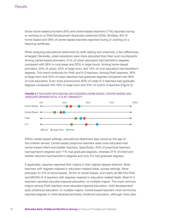Some home-based providers (6%) and center-based teachers (17%) reported having or working on a Child Development Associate credential (CDA). Similarly, 8% of home-based and 29% of center-based teachers reported having or working on a teaching certificate.

When analyzing educational attainment by both setting and urbanicity, a few differences emerged. Generally, urban educators were more educated than their rural counterparts. Among center-based providers, 41% of urban educators had bachelor's degrees compared with 28% in rural areas and 32% in large towns. Among home-based providers, 25% of urban, 23% of large town, and 16% of rural educators had bachelor's degrees. This trend continued for PreK and K-3 teachers. Among PreK teachers, 46% of large town and 43% of urban teachers had graduate degrees compared with 38% of rural educators. Even more pronounced, 60% of urban K-3 teachers had graduate degrees compared with 49% of large town and 33% of rural K-3 teachers (Figure 3).



**FIGURE 3 |** TEACHERS WITH BACHELOR'S DEGREES (HOME-BASED, CENTER-BASED) AND GRADUATE DEGREES (PreK, K-3) BY URBANICITY

Within center-based settings, educational attainment also varied by the age of the children served. Center-based preschool teachers were more educated than center-based infant and toddler teachers. Specifically, 43% of preschool teachers had bachelor's degrees and 11% had graduate degrees, whereas 31% of infant and toddler teachers had bachelor's degrees and only 2% had graduate degrees.

If applicable, teachers reported their majors in their highest degree attained. Most teachers with degrees majored in education-related fields, across settings. More precisely, 61.2% of home-based, 79.9% of center-based, and nearly all (98.4%) PreK and (99.8%) K-3 teachers with degrees majored in education-related fields. Most K-3 teachers reported education/special education, or multiple majors. The most common majors among PreK teachers were education/special education, child development/ early childhood education, or multiple majors. Center-based teachers most commonly reported degrees in child development/early childhood education, although many also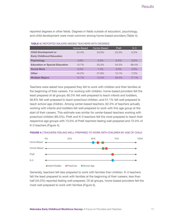reported degrees in other fields. Degrees in fields outside of education, psychology, and child development were most common among home-based providers (Table 4).

|                                       | Home-Based | Center-Based | PreK    | $K-3$   |
|---------------------------------------|------------|--------------|---------|---------|
| <b>Child Development or</b>           | 24.4%      | 34.9%        | 23.3%   | 6.3%    |
| <b>Early Childhood Education</b>      |            |              |         |         |
| <b>Psychology</b>                     | 4.6%       | 2.5%         | $0.4\%$ | 0.2%    |
| <b>Education or Special Education</b> | 13.7%      | 20.3%        | 34.3%   | 69.4%   |
| <b>Social Work</b>                    | 0.5%       | $1.4\%$      | $0.0\%$ | $0.0\%$ |
| <b>Other</b>                          | 44.2%      | 27.8%        | 13.1%   | 7.0%    |
| <b>Multiple Maiors</b>                | 12.7%      | 13.2%        | 29.0%   | 17.1%   |

#### **TABLE 4 |** REPORTED MAJORS AMONG TEACHERS WITH DEGREES

Teachers were asked how prepared they felt to work with children and their families at the beginning of their careers. For working with children, home-based providers felt the least prepared of all groups; 60.3% felt well-prepared to teach infants and toddlers, 56.8% felt well-prepared to teach preschool children, and 51.1% felt well-prepared to teach school age children. Among center-based teachers, 62.3% of teachers actually working with infants and toddlers felt well-prepared to work with this age group at the start of their careers. This estimate was similar for center-based teachers working with preschool children (65.5%). PreK and K-3 teachers felt the most prepared to teach their respective age groups with 73.0% of PreK teachers feeling well-prepared and 72.0% of K-3 teachers (Figure 4).

#### **FIGURE 4 |** TEACHERS FEELING WELL-PREPARED TO WORK WITH CHILDREN BY AGE OF CHILD



Generally, teachers felt less prepared to work with families than children. K-3 teachers felt the least prepared to work with families at the beginning of their careers; less than half (44.2%) reported feeling well-prepared. Of all groups, home-based providers felt the most well-prepared to work with families (Figure 5).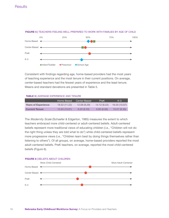

**FIGURE 5 |** TEACHERS FEELING WELL-PREPARED TO WORK WITH FAMILIES BY AGE OF CHILD

Consistent with findings regarding age, home-based providers had the most years of teaching experience and the most tenure in their current positions. On average, center-based teachers had the fewest years of experience and the least tenure. Means and standard deviations are presented in Table 5.

#### **TABLE 5 |** AVERAGE EXPERIENCE AND TENURE

|                            | ' Home-Based , | Center-Based | PreK        | $K-3$         |
|----------------------------|----------------|--------------|-------------|---------------|
| <b>Years of Experience</b> | 18.52 (11.22)  | 12.09(9.29)  | 14.12(9.22) | 16.55 (10.67) |
| <b>Current Tenure</b>      | 15.63 (10.81)  | 6.03(6.55)   | 6,80(6,69)  | 10.57(9.56)   |

The Modernity Scale (Schaefer & Edgerton, 1985) measures the extent to which teachers embraced more child-centered or adult-centered beliefs. Adult-centered beliefs represent more traditional views of educating children (i.e., "Children will not do the right thing unless they are told what to do") while child-centered beliefs represent more progressive views (i.e., "Children learn best by doing things themselves rather than listening to others"). Of all groups, on average, home-based providers reported the most adult-centered beliefs. PreK teachers, on average, reported the most child-centered beliefs (Figure 6).

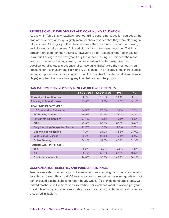#### **PROFESSIONAL DEVELOPMENT AND CONTINUING EDUCATION**

As shown in Table 6, few teachers reported taking continuing education courses at the time of the survey, although slightly more teachers reported that they were planning to take courses. Of all groups, PreK teachers were the most likely to report both taking and planning to take courses, followed closely by center-based teachers. Trainings appear more common than courses, however, as many teachers reported engaging in various trainings in the past year. Early Childhood Training Centers was the most common source for trainings among home-based and center-based teachers. Local school districts and educational service units (ESUs) were the most common locations for trainings among PreK and K-3 teachers. The majority of teachers, across settings, reported not participating in T.E.A.C.H. (Teacher Education and Compensation Helps) scholarships or not having any knowledge about the program.

|                                          | Home-Based | Center-Based | PreK    | $K-3$   |
|------------------------------------------|------------|--------------|---------|---------|
| <b>Currently Taking Courses</b>          | $4.6\%$    | $13.2\%$     | 14.4%   | 4.5%    |
| <b>Planning to Take Courses</b>          | 13.0%      | 24.8%        | 29.0%   | 14.1%   |
| <b>TRAININGS IN PAST YEAR</b>            |            |              |         |         |
| <b>NE Cooperative Extension</b>          | 34.3%      | 23.8%        | $8.2\%$ | 7.5%    |
| <b>EC Training Center</b>                | 76.9%      | 50.7%        | 33.6%   | 2.0%    |
| <b>Provider in Community</b>             | 37.7%      | 18.1%        | 12.8%   | 3.6%    |
| <b>ESU</b>                               | 49.0%      | 37.7%        | 68.0%   | 66.0%   |
| <b>Early Learning Connection Partner</b> | 22.7%      | 17.3%        | 9.8%    | $0.7\%$ |
| <b>Coaching or Mentoring</b>             | 7.9%       | 21.9%        | 34.6%   | 27.0%   |
| <b>Local School District</b>             | $9.9\%$    | 26.4%        | 75.4%   | 83.0%   |
| <b>Online Training</b>                   | 34.1%      | 34.8%        | 47.2%   | 51.3%   |
| <b>PARTICIPATES IN T.E.A.C.H.</b>        |            |              |         |         |
| Yes                                      | 4.3%       | 6.2%         | $3.8\%$ | 1.4%    |
| <b>No</b>                                | 69.1%      | 56.3%        | 52.3%   | 48.5%   |
| Don't Know About It                      | 26.6%      | 37.5%        | 43.9%   | 50.1%   |

#### **TABLE 6 |** PROFESSIONAL DEVELOPMENT AND TRAINING EXPERIENCES

#### **COMPENSATION, BENEFITS, AND PUBLIC ASSISTANCE**

Teachers reported their earnings in the metric of their choosing (i.e., hourly or annually). Most home-based, PreK, and K-3 teachers chose to report annual earnings while most center-based teachers chose to report hourly wages. To provide comparable data, we utilized teachers' self-reports of hours worked per week and months worked per year to calculate hourly and annual estimates for each individual; both median estimates are presented in Table 7.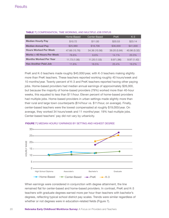|                               | Home-Based    | Center-Based  | <b>PreK</b>  | $K-3$        |
|-------------------------------|---------------|---------------|--------------|--------------|
| <b>Median Hourly Pay</b>      | \$10.72       | \$11.00       | \$20.53      | \$23.14      |
| <b>Median Annual Pay</b>      | \$25,980      | \$18,706      | \$36,000     | \$41,000     |
| <b>Hours Worked Per Week</b>  | 47.66 (15.76) | 34.36 (10.56) | 39.20 (5.84) | 40.96 (5.32) |
| Works > 40 Hours Per Week     | 78.6%         | 6.6%          | 14.1%        | 20.3%        |
| <b>Months Worked Per Year</b> | 11.73 (1.06)  | 11.20(1.53)   | 9.97(.96)    | 9.97(1.42)   |
| <b>Has Another Paid Job</b>   | 11.6%         | 18.5%         | 20.4%        | 19.2%        |

#### **TABLE 7 |** COMPENSATION, TIME WORKING, AND MULTIPLE JOB STATUS

PreK and K-3 teachers made roughly \$40,000/year, with K-3 teachers making slightly more than PreK teachers. These teachers reported working roughly 40 hours/week and 10 months/year. Twenty percent of K-3 and PreK teachers reported having other paying jobs. Home-based providers had median annual earnings of approximately \$26,000, but because the majority of home-based providers (79%) worked more than 40-hour weeks, this equated to less than \$11/hour. Eleven percent of home-based providers had multiple jobs. Home-based providers in urban settings made slightly more than their rural and large town counterparts (\$14/hour vs. \$11/hour, on average). Finally, center-based teachers were the lowest compensated at roughly \$19,000/year. On average, they worked 34 hours/week and 11 months/year; 19% had multiple jobs. Center-based teachers' pay did not vary by urbanicity.



#### **FIGURE 7 |** MEDIAN HOURLY EARNINGS BY SETTING AND HIGHEST DEGREE

When earnings were considered in conjunction with degree attainment, the line remained flat for center-based and home-based providers. In contrast, PreK and K-3 teachers with graduate degrees earned more per hour than teachers with bachelor's degrees, reflecting typical school district pay scales. Trends were similar regardless of whether or not degrees were in education-related fields (Figure 7).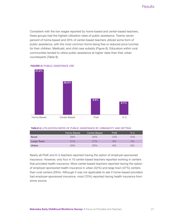Consistent with the low wages reported by home-based and center-based teachers, these groups had the highest utilization rates of public assistance. Twenty-seven percent of home-based and 20% of center-based teachers utilized some form of public assistance, with the most common forms being free or reduced price lunches for their children, Medicaid, and child care subsidy (Figure 8). Educators within rural communities tended to utilize public assistance at higher rates than their urban counterparts (Table 8).



#### **FIGURE 8 |** PUBLIC ASSISTANCE USE

#### **TABLE 8 |** UTILIZATION RATES OF PUBLIC ASSISTANCE BY URBANICITY AND SETTING

|                   | Home-Based | Center-Based | PreK | $K-3$ |
|-------------------|------------|--------------|------|-------|
| <b>Rural</b>      | 28%        | 25%          | 14%  | 15%   |
| <b>Large Town</b> | 31%        | 27%          | 8%   | 4%    |
| Urban             | 23%        | 20%          | 8%   | 6%    |

Nearly all PreK and K-3 teachers reported having the option of employer-sponsored insurance. However, only four in 10 center-based teachers reported working in centers that provided health insurance. More center-based teachers reported having the option of employer-sponsored health insurance in urban (42%) and large town (37%) centers than rural centers (29%). Although it was not applicable to ask if home-based providers had employer-sponsored insurance, most (70%) reported having health insurance from some source.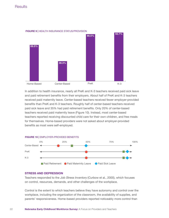

**FIGURE 9 |** HEALTH INSURANCE STATUS/PROVISION

In addition to health insurance, nearly all PreK and K-3 teachers received paid sick leave and paid retirement benefits from their employers. About half of PreK and K-3 teachers received paid maternity leave. Center-based teachers received fewer employer-provided benefits than PreK and K-3 teachers. Roughly half of center-based teachers received paid sick leave and 35% had paid retirement benefits. Only 20% of center-based teachers received paid maternity leave (Figure 10). Instead, most center-based teachers reported receiving discounted child care for their own children, and free meals for themselves. Home-based providers were not asked about employer-provided benefits as most were self-employed.



#### **STRESS AND DEPRESSION**

Teachers responded to the Job Stress Inventory (Curbow et al., 2000), which focuses on control, resources, demands, and other challenges of the workplace.

Control is the extent to which teachers believe they have autonomy and control over the workplace, including the organization of the classroom, the availability of supplies, and parents' responsiveness. Home-based providers reported noticeably more control than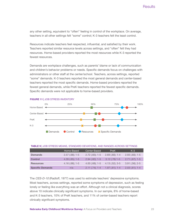any other setting, equivalent to "often" feeling in control of the workplace. On average, teachers in all other settings felt "some" control; K-3 teachers felt the least control.

Resources indicate teachers feel respected, influential, and satisfied by their work. Teachers reported similar resource levels across settings, and "often" felt they had resources. Home-based providers reported the most resources while K-3 reported the fewest resources.

Demands are workplace challenges, such as parents' blame or lack of communication and children's behavior problems or needs. Specific demands focus on challenges with administrators or other staff at the center/school. Teachers, across settings, reported "some" demands. K-3 teachers reported the most general demands and center-based teachers reported the most specific demands. Home-based providers reported the fewest general demands, while PreK teachers reported the fewest specific demands. Specific demands were not applicable to home-based providers.



#### **FIGURE 11 |** JOB STRESS INVENTORY

#### **TABLE 9 |** JOB STRESS MEANS, STANDARD DEVIATIONS, AND RANGES ACROSS SETTINGS

|                         | Home-Based        | Center-Based        | PreK              | $K-3$             |
|-------------------------|-------------------|---------------------|-------------------|-------------------|
| <b>Demands</b>          | $2.57(.68); 1-5$  | $2.72$ (.65); 1-5   | $2.69(.60); 1-4$  | $2.93(.60); 1-5$  |
| <b>Control</b>          | $4.39(.65)$ ; 1-5 | $2.94(.82); 1-5$    | $3.12(.76)$ 1-5   | $2.71(.67)$ ; 1-5 |
| <b>Resources</b>        | $4.16(.68)$ ; 1-5 | $4.00$ (.68); $1-5$ | $4.13(.52)$ ; 3-5 | $3.91(.56); 2-5$  |
| <b>Specific Demands</b> | n/a               | $2.11(.74); 1-4$    | $1.97(.61); 1-4$  | $2.03(.61); 1-4$  |

The CES-D-10 (Radloff, 1977) was used to estimate teachers' depressive symptoms. Most teachers, across settings, reported some symptoms of depression, such as feeling lonely or feeling like everything was an effort. Although not a clinical diagnosis, scores above 10 indicate clinically significant symptoms. In our sample, 8% of home-based and K-3 teachers, 10% of PreK teachers, and 11% of center-based teachers report clinically significant symptoms.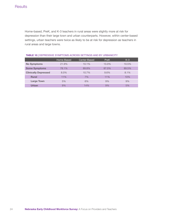Home-based, PreK, and K-3 teachers in rural areas were slightly more at risk for depression than their large town and urban counterparts. However, within center-based settings, urban teachers were twice as likely to be at risk for depression as teachers in rural areas and large towns.

|                             | Home-Based | Center-Based | <b>PreK</b> | $K-3$ |
|-----------------------------|------------|--------------|-------------|-------|
| <b>No Symptoms</b>          | 21.9%      | 10.1%        | 13.0%       | 10.5% |
| <b>Some Symptoms</b>        | 78.1%      | 89.8%        | 87.0%       | 89.5% |
| <b>Clinically Depressed</b> | $8.0\%$    | 10.7%        | 9.6%        | 8.1%  |
| <b>Rural</b>                | 11%        | 7%           | 11%         | 10%   |
| Large Town                  | 5%         | 6%           | 9%          | 9%    |
| Urban                       | 9%         | 14%          | 9%          | 5%    |

#### **TABLE 10 | DEPRESSIVE SYMPTOMS ACROSS SETTINGS AND BY URBANICITY**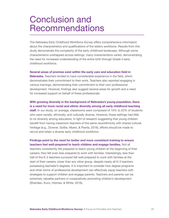## Conclusion and **Recommendations**

The Nebraska Early Childhood Workforce Survey offers comprehensive information about the characteristics and qualifications of the state's workforce. Results from this study demonstrate the complexity of the early childhood landscape. Although some characteristics overlapped across settings, many characteristics varied, demonstrating the need for increased understanding of the entire birth through Grade 3 early childhood workforce.

#### **Several areas of promise exist within the early care and education field in**

**Nebraska.** Teachers tended to have considerable experience in the field, which demonstrates their commitment to their work. Teachers also reported engaging in various trainings, demonstrating their commitment to their own professional development. However, findings also suggest several areas for growth and a need for increased support on behalf of these professionals.

## **With growing diversity in the background of Nebraska's young population, there is a need for more racial and ethnic diversity among all early childhood teaching**

**staff.** In our study, on average, classrooms were composed of 10% to 22% of students who were racially, ethnically, and culturally diverse. However, these settings had little to no diversity among educators. In light of research suggesting that young children benefit from having classroom teachers of the same race/ethnicity with shared cultural heritage (e.g., Downer, Golbe, Myers, & Pianta, 2016), efforts should be made to recruit and retain a diverse early childhood workforce.

### **Findings point to the need for better and more consistent training to ensure teachers feel well-prepared to teach children and engage families.** Not all

teachers consistently felt prepared to teach young children at the beginning of their careers; they felt even less prepared to work with families. Interestingly, less than half of the K-3 teachers surveyed felt well-prepared to work with families at the start of their careers, lower than any other group, despite nearly all K-3 teachers possessing bachelor's degrees. It is important to consider how degree programs and other forms of professional development can effectively equip teachers with strategies to support children and engage parents. Teachers and parents can be extremely valuable partners in cooperatively promoting children's development (Sheridan, Kunz, Holmes, & White, 2016).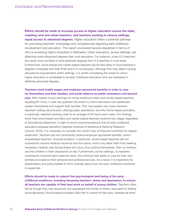**Efforts should be made to increase access to higher education across the state, enabling rural and urban teachers, and teachers working in various settings, equal access to advanced degrees.** Higher education offers a potential pathway for promoting teachers' knowledge and competencies regarding early childhood development and education. This report uncovered several disparities in terms of who is accessing higher education in Nebraska. Urban educators, across settings, are attaining more advanced degrees than rural educators. For instance, urban K-3 teachers are nearly twice as likely to have graduate degrees than K-3 teachers in rural areas. Furthermore, home-based and center-based teachers are far less likely to have bachelor's degrees compared with their PreK and K-3 counterparts. Although this may reflect varying educational requirements within settings, it is worth considering the extent to which higher education is accessible to all early childhood educators who are interested in attaining advanced degrees.

## **Teachers need livable wages and employer-sponsored benefits in order to care for themselves and their families, and avoid reliance on public assistance and second**

**jobs.** With median hourly earnings for home-based providers and center-based teachers equaling \$11/hour, it calls into question the extent to which educators can realistically sustain themselves and support their families. This may explain why many teachers reported holding second jobs, utilizing public assistance, and why home-based providers, in particular, reported working close to an average of 50 hours each week. Our findings show that home-based providers and center-based teachers received low wages regardless of educational attainment. In light of recent recommendations that all early childhood educators possess bachelor's degrees (Institute of Medicine & National Research Council, 2015), it is necessary to consider the current lack of financial incentives for degree attainment. Teachers did not consistently receive employer-sponsored benefits, which exacerbated teachers' financial burdens. In particular, center-based teachers did not consistently receive medical insurance and sick leave, which may deter them from seeking necessary medical care during illness and injury, thus putting themselves, their co-workers, and the children in their classrooms at risk. Furthermore, across settings, no teachers consistently received paid maternity leave, thus limiting their ability to care for their own families and balance their personal and professional lives. As a result, it is imperative for stakeholders and policymakers to think critically about how the early childhood workforce is supported.

**Efforts should be made to support the psychological well-being of the early childhood workforce, including lessening teachers' stress and depression, to ensure all teachers are capable of their best work on behalf of young children.** Teachers often felt as though they had resources, but expressed mid-levels of stress, equivalent to feeling some demands. Home-based providers often felt in control of their jobs, whereas all other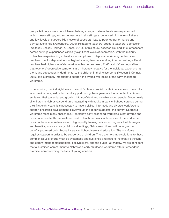groups felt only some control. Nevertheless, a range of stress levels was experienced within these settings, and some teachers in all settings experienced high levels of stress and low levels of support. High levels of stress can lead to poor job performance and burnout (Jennings & Greenberg, 2009). Related to teachers' stress is teachers' depression (Whitaker, Becker, Herman, & Gooze, 2013). In this study, between 8% and 11% of teachers across settings experienced clinically significant levels of depression, with the majority of teachers experiencing at least some symptoms of depression. Among center-based teachers, risk for depression was highest among teachers working in urban settings. Rural teachers had higher risk of depression within home-based, PreK, and K-3 settings. Given that teachers' depressive symptoms are inherently negative for the individual experiencing them, and subsequently detrimental to the children in their classrooms (McLean & Connor, 2015), it is extremely important to support the overall well-being of the early childhood workforce.

In conclusion, the first eight years of a child's life are crucial for lifetime success. The adults who provide care, instruction, and support during these years are fundamental to children achieving their potential and growing into confident and capable young people. Since nearly all children in Nebraska spend time interacting with adults in early childhood settings during their first eight years, it is necessary to have a skilled, informed, and diverse workforce to support children's development. However, as this report suggests, the current Nebraska workforce faces many challenges. Nebraska's early childhood workforce is not diverse and does not consistently feel well-prepared to teach and work with families. If the workforce does not have adequate access to high-quality training, advanced degrees, livable wages, and benefits, across all early childhood settings, Nebraska children will not enjoy the benefits promised by high-quality early childhood care and education. The workforce requires support in order to be supportive of children. There are no simple solutions to these complex issues; efforts must be systematic and sustained and require the creative thinking and commitment of stakeholders, policymakers, and the public. Ultimately, we are confident that a sustained commitment to Nebraska's early childhood workforce offers tremendous promise in transforming the lives of young children.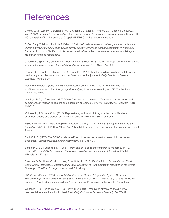## **References**

Bryant, D. M., Wesley, P., Burchinal, M. R., Sideris, J., Taylor, K., Fenson, C., . . . Jeon, H. J. (2009). The QUINCE-PFI study: An evaluation of a promising model for child care provider training. Chapel Hill, NC: University of North Carolina at Chapel Hill, FPG Child Development Institute.

Buffett Early Childhood Institute & Gallup. (2016). Nebraskans speak about early care and education: Buffett Early Childhood Institute/Gallup survey on early childhood care and education in Nebraska. Retrieved from: http://buffettinstitute.nebraska.edu/-/media/beci/docs/announcement--buffett-gallup-survey-findings-report.ashx

Curbow, B., Spratt, K., Ungaretti, A., McDonnell, K. & Breckler, S. (2000). Development of the child care worker job stress inventory. Early Childhood Research Quarterly*,* 15(4), 515-536.

Downer, J. T., Goble, P., Myers, S. S., & Pianta, R.C. (2016). Teacher-child racial/ethnic match within pre-kindergarten classrooms and children's early school adjustment. Early Childhood Research Quarterly*,* 37(4), 26-38.

Institute of Medicine (IOM) and National Research Council (NRC). (2015). *Transforming the workforce for children birth through age 8: A unifying foundation*. Washington, DC: The National Academies Press.

Jennings, P. A., & Greenberg, M. T. (2009). The prosocial classroom: Teacher social and emotional competence in relation to student and classroom outcomes. Review of Educational Research, 79(1), 491-525.

McLean, L., & Connor, C. M. (2015). Depressive symptoms in third-grade teachers: Relations to classroom quality and student achievement. Child Development, 86(3), 945-954.

NSECE Project Team (National Opinion Research Center) (2012). National Survey of Early Care and Education (NSECE). ICPSR35519-v4. Ann Arbor, MI: Inter-university Consortium for Political and Social Research.

Radloff, L. S. (1977). The CES-D scale: A self-report depression scale for research in the general population. Applied psychological measurement, 1(3), 385-401.

Schaefer, E. S., & Edgerton, M. (1985). Parent and child correlates of parental modernity. In I. E. Sigel (Ed.), Parental belief systems: The psychological consequences for children (pp. 287-318). Hillsdale, NJ: Erlbaum.

Sheridan, S. M., Kunz, G. M., Holmes, S., & Witte, A. (2017). Family-School Partnerships in Rural Communities: Benefits, Exemplars, and Future Research. In Rural Education Research in the United States (pp. 269-289). Springer International Publishing.

U.S. Census Bureau. (2016). Annual Estimates of the Resident Population by Sex, Race, and Hispanic Origin for the United States, States, and Counties: April 1, 2010, to July 1, 2015. Retrieved from https://factfinder.census.gov/faces/tableservices/jsf/pages/productview.xhtml?src=bkmk

Whitaker, R. C., Dearth-Wesley, T., & Gooze, R. A. (2015). Workplace stress and the quality of teacher-children relationships in Head Start. *Early Childhood Research Quarterly*, 30, 57- 69.